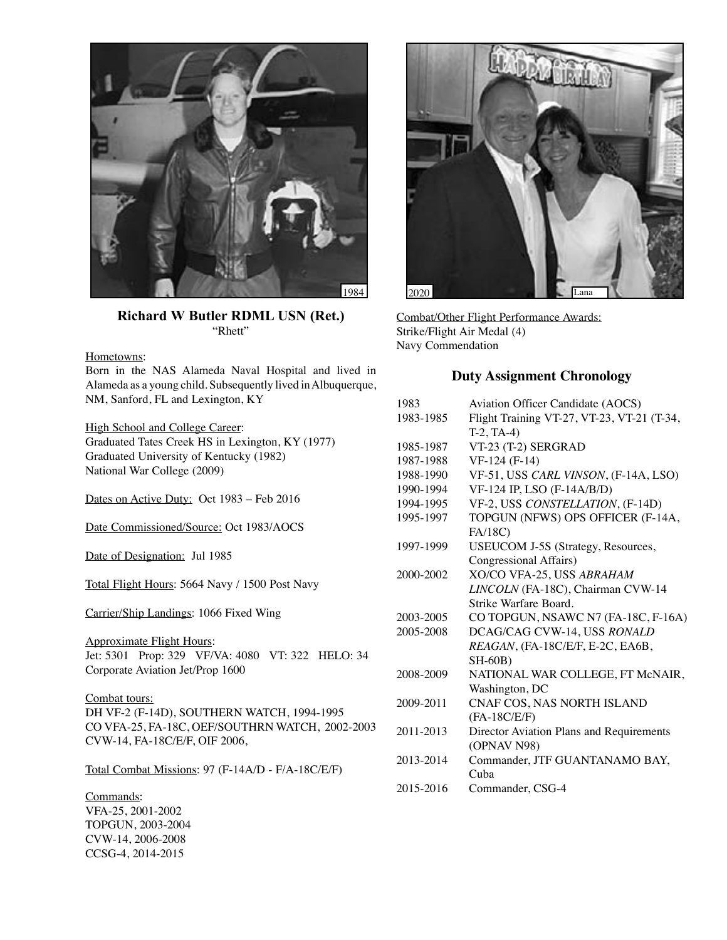

**Richard W Butler RDML USN (Ret.)** "Rhett"

Hometowns:

Born in the NAS Alameda Naval Hospital and lived in Alameda as a young child. Subsequently lived in Albuquerque, NM, Sanford, FL and Lexington, KY

High School and College Career: Graduated Tates Creek HS in Lexington, KY (1977) Graduated University of Kentucky (1982) National War College (2009)

Dates on Active Duty: Oct 1983 - Feb 2016

Date Commissioned/Source: Oct 1983/AOCS

Date of Designation: Jul 1985

Total Flight Hours: 5664 Navy / 1500 Post Navy

Carrier/Ship Landings: 1066 Fixed Wing

Approximate Flight Hours: Jet: 5301 Prop: 329 VF/VA: 4080 VT: 322 HELO: 34 Corporate Aviation Jet/Prop 1600

Combat tours: DH VF-2 (F-14D), SOUTHERN WATCH, 1994-1995 CO VFA-25, FA-18C, OEF/SOUTHRN WATCH, 2002-2003 CVW-14, FA-18C/E/F, OIF 2006,

Total Combat Missions: 97 (F-14A/D - F/A-18C/E/F)

Commands: VFA-25, 2001-2002 TOPGUN, 2003-2004 CVW-14, 2006-2008 CCSG-4, 2014-2015



Combat/Other Flight Performance Awards: Strike/Flight Air Medal (4) Navy Commendation

## **Duty Assignment Chronology**

| 1983      | Aviation Officer Candidate (AOCS)          |
|-----------|--------------------------------------------|
| 1983-1985 | Flight Training VT-27, VT-23, VT-21 (T-34, |
|           | $T-2, TA-4)$                               |
| 1985-1987 | VT-23 (T-2) SERGRAD                        |
| 1987-1988 | VF-124 (F-14)                              |
| 1988-1990 | VF-51, USS CARL VINSON, (F-14A, LSO)       |
| 1990-1994 | VF-124 IP, LSO (F-14A/B/D)                 |
| 1994-1995 | VF-2, USS CONSTELLATION, (F-14D)           |
| 1995-1997 | TOPGUN (NFWS) OPS OFFICER (F-14A,          |
|           | FA/18C)                                    |
| 1997-1999 | <b>USEUCOM J-5S (Strategy, Resources,</b>  |
|           | Congressional Affairs)                     |
| 2000-2002 | XO/CO VFA-25, USS ABRAHAM                  |
|           | LINCOLN (FA-18C), Chairman CVW-14          |
|           | Strike Warfare Board.                      |
| 2003-2005 | CO TOPGUN, NSAWC N7 (FA-18C, F-16A)        |
| 2005-2008 | DCAG/CAG CVW-14, USS RONALD                |
|           | REAGAN, (FA-18C/E/F, E-2C, EA6B,           |
|           | <b>SH-60B)</b>                             |
| 2008-2009 | NATIONAL WAR COLLEGE, FT McNAIR,           |
|           | Washington, DC                             |
| 2009-2011 | CNAF COS, NAS NORTH ISLAND                 |
|           | $(FA-18C/E/F)$                             |
| 2011-2013 | Director Aviation Plans and Requirements   |
|           | (OPNAV N98)                                |
| 2013-2014 | Commander, JTF GUANTANAMO BAY,             |
|           | Cuba                                       |
| 2015-2016 | Commander, CSG-4                           |
|           |                                            |